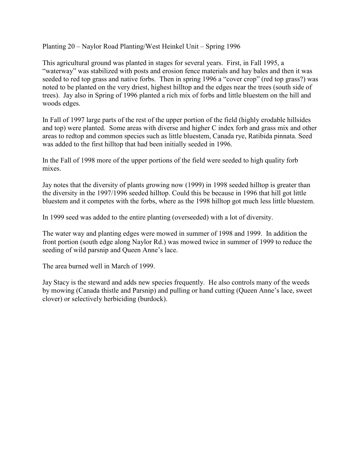Planting 20 – Naylor Road Planting/West Heinkel Unit – Spring 1996

This agricultural ground was planted in stages for several years. First, in Fall 1995, a "waterway" was stabilized with posts and erosion fence materials and hay bales and then it was seeded to red top grass and native forbs. Then in spring 1996 a "cover crop" (red top grass?) was noted to be planted on the very driest, highest hilltop and the edges near the trees (south side of trees). Jay also in Spring of 1996 planted a rich mix of forbs and little bluestem on the hill and woods edges.

In Fall of 1997 large parts of the rest of the upper portion of the field (highly erodable hillsides and top) were planted. Some areas with diverse and higher C index forb and grass mix and other areas to redtop and common species such as little bluestem, Canada rye, Ratibida pinnata. Seed was added to the first hilltop that had been initially seeded in 1996.

In the Fall of 1998 more of the upper portions of the field were seeded to high quality forb mixes.

Jay notes that the diversity of plants growing now (1999) in 1998 seeded hilltop is greater than the diversity in the 1997/1996 seeded hilltop. Could this be because in 1996 that hill got little bluestem and it competes with the forbs, where as the 1998 hilltop got much less little bluestem.

In 1999 seed was added to the entire planting (overseeded) with a lot of diversity.

The water way and planting edges were mowed in summer of 1998 and 1999. In addition the front portion (south edge along Naylor Rd.) was mowed twice in summer of 1999 to reduce the seeding of wild parsnip and Queen Anne's lace.

The area burned well in March of 1999.

Jay Stacy is the steward and adds new species frequently. He also controls many of the weeds by mowing (Canada thistle and Parsnip) and pulling or hand cutting (Queen Anne's lace, sweet clover) or selectively herbiciding (burdock).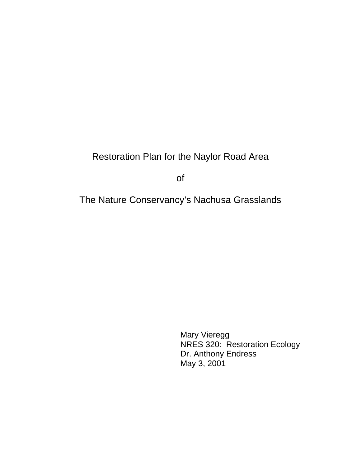# Restoration Plan for the Naylor Road Area

of

The Nature Conservancy's Nachusa Grasslands

 Mary Vieregg NRES 320: Restoration Ecology Dr. Anthony Endress May 3, 2001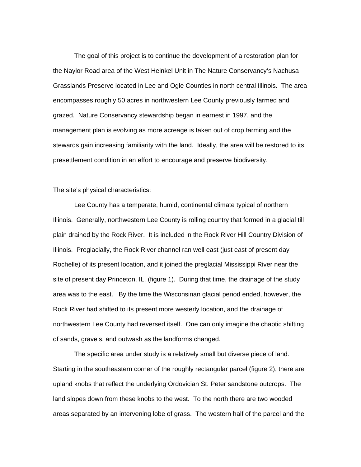The goal of this project is to continue the development of a restoration plan for the Naylor Road area of the West Heinkel Unit in The Nature Conservancy's Nachusa Grasslands Preserve located in Lee and Ogle Counties in north central Illinois. The area encompasses roughly 50 acres in northwestern Lee County previously farmed and grazed. Nature Conservancy stewardship began in earnest in 1997, and the management plan is evolving as more acreage is taken out of crop farming and the stewards gain increasing familiarity with the land. Ideally, the area will be restored to its presettlement condition in an effort to encourage and preserve biodiversity.

#### The site's physical characteristics:

 Lee County has a temperate, humid, continental climate typical of northern Illinois. Generally, northwestern Lee County is rolling country that formed in a glacial till plain drained by the Rock River. It is included in the Rock River Hill Country Division of Illinois. Preglacially, the Rock River channel ran well east (just east of present day Rochelle) of its present location, and it joined the preglacial Mississippi River near the site of present day Princeton, IL. (figure 1). During that time, the drainage of the study area was to the east. By the time the Wisconsinan glacial period ended, however, the Rock River had shifted to its present more westerly location, and the drainage of northwestern Lee County had reversed itself. One can only imagine the chaotic shifting of sands, gravels, and outwash as the landforms changed.

 The specific area under study is a relatively small but diverse piece of land. Starting in the southeastern corner of the roughly rectangular parcel (figure 2), there are upland knobs that reflect the underlying Ordovician St. Peter sandstone outcrops. The land slopes down from these knobs to the west. To the north there are two wooded areas separated by an intervening lobe of grass. The western half of the parcel and the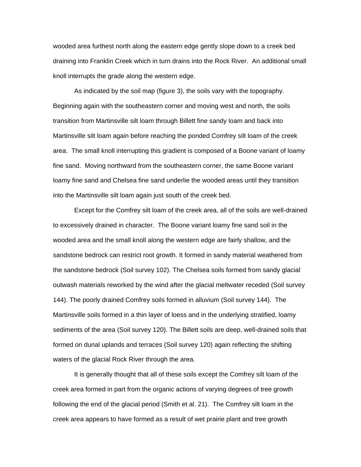wooded area furthest north along the eastern edge gently slope down to a creek bed draining into Franklin Creek which in turn drains into the Rock River. An additional small knoll interrupts the grade along the western edge.

 As indicated by the soil map (figure 3), the soils vary with the topography. Beginning again with the southeastern corner and moving west and north, the soils transition from Martinsville silt loam through Billett fine sandy loam and back into Martinsville silt loam again before reaching the ponded Comfrey silt loam of the creek area. The small knoll interrupting this gradient is composed of a Boone variant of loamy fine sand. Moving northward from the southeastern corner, the same Boone variant loamy fine sand and Chelsea fine sand underlie the wooded areas until they transition into the Martinsville silt loam again just south of the creek bed.

Except for the Comfrey silt loam of the creek area, all of the soils are well-drained to excessively drained in character. The Boone variant loamy fine sand soil in the wooded area and the small knoll along the western edge are fairly shallow, and the sandstone bedrock can restrict root growth. It formed in sandy material weathered from the sandstone bedrock (Soil survey 102). The Chelsea soils formed from sandy glacial outwash materials reworked by the wind after the glacial meltwater receded (Soil survey 144). The poorly drained Comfrey soils formed in alluvium (Soil survey 144). The Martinsville soils formed in a thin layer of loess and in the underlying stratified, loamy sediments of the area (Soil survey 120). The Billett soils are deep, well-drained soils that formed on dunal uplands and terraces (Soil survey 120) again reflecting the shifting waters of the glacial Rock River through the area.

It is generally thought that all of these soils except the Comfrey silt loam of the creek area formed in part from the organic actions of varying degrees of tree growth following the end of the glacial period (Smith et al. 21). The Comfrey silt loam in the creek area appears to have formed as a result of wet prairie plant and tree growth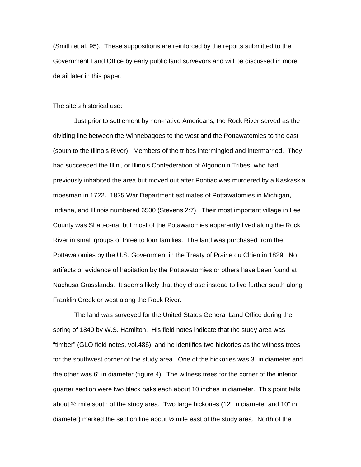(Smith et al. 95). These suppositions are reinforced by the reports submitted to the Government Land Office by early public land surveyors and will be discussed in more detail later in this paper.

#### The site's historical use:

 Just prior to settlement by non-native Americans, the Rock River served as the dividing line between the Winnebagoes to the west and the Pottawatomies to the east (south to the Illinois River). Members of the tribes intermingled and intermarried. They had succeeded the Illini, or Illinois Confederation of Algonquin Tribes, who had previously inhabited the area but moved out after Pontiac was murdered by a Kaskaskia tribesman in 1722. 1825 War Department estimates of Pottawatomies in Michigan, Indiana, and Illinois numbered 6500 (Stevens 2:7). Their most important village in Lee County was Shab-o-na, but most of the Potawatomies apparently lived along the Rock River in small groups of three to four families. The land was purchased from the Pottawatomies by the U.S. Government in the Treaty of Prairie du Chien in 1829. No artifacts or evidence of habitation by the Pottawatomies or others have been found at Nachusa Grasslands. It seems likely that they chose instead to live further south along Franklin Creek or west along the Rock River.

 The land was surveyed for the United States General Land Office during the spring of 1840 by W.S. Hamilton. His field notes indicate that the study area was "timber" (GLO field notes, vol.486), and he identifies two hickories as the witness trees for the southwest corner of the study area. One of the hickories was 3" in diameter and the other was 6" in diameter (figure 4). The witness trees for the corner of the interior quarter section were two black oaks each about 10 inches in diameter. This point falls about  $\frac{1}{2}$  mile south of the study area. Two large hickories (12" in diameter and 10" in diameter) marked the section line about  $\frac{1}{2}$  mile east of the study area. North of the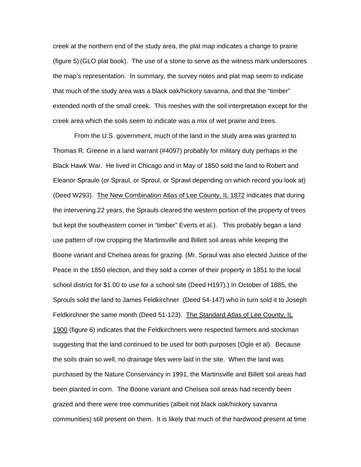creek at the northern end of the study area, the plat map indicates a change to prairie (figure 5) (GLO plat book). The use of a stone to serve as the witness mark underscores the map's representation. In summary, the survey notes and plat map seem to indicate that much of the study area was a black oak/hickory savanna, and that the "timber" extended north of the small creek. This meshes with the soil interpretation except for the creek area which the soils seem to indicate was a mix of wet prairie and trees.

 From the U.S. government, much of the land in the study area was granted to Thomas R. Greene in a land warrant (#4097) probably for military duty perhaps in the Black Hawk War. He lived in Chicago and in May of 1850 sold the land to Robert and Eleanor Spraule (or Spraul, or Sproul, or Sprawl depending on which record you look at) (Deed W293). The New Combination Atlas of Lee County, IL 1872 indicates that during the intervening 22 years, the Sprauls cleared the western portion of the property of trees but kept the southeastern corner in "timber" Everts et al.). This probably began a land use pattern of row cropping the Martinsville and Billett soil areas while keeping the Boone variant and Chelsea areas for grazing. (Mr. Spraul was also elected Justice of the Peace in the 1850 election, and they sold a corner of their property in 1851 to the local school district for \$1.00 to use for a school site (Deed H197).) In October of 1885, the Sprouls sold the land to James Feldkirchner (Deed 54-147) who in turn sold it to Joseph Feldkirchner the same month (Deed 51-123). The Standard Atlas of Lee County, IL 1900 (figure 6) indicates that the Feldkirchners were respected farmers and stockman suggesting that the land continued to be used for both purposes (Ogle et al). Because the soils drain so well, no drainage tiles were laid in the site. When the land was purchased by the Nature Conservancy in 1991, the Martinsville and Billett soil areas had been planted in corn. The Boone variant and Chelsea soil areas had recently been grazed and there were tree communities (albeit not black oak/hickory savanna communities) still present on them. It is likely that much of the hardwood present at time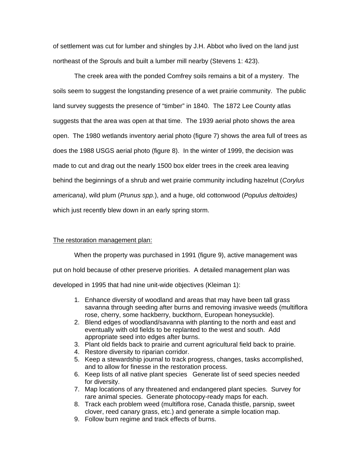of settlement was cut for lumber and shingles by J.H. Abbot who lived on the land just northeast of the Sprouls and built a lumber mill nearby (Stevens 1: 423).

 The creek area with the ponded Comfrey soils remains a bit of a mystery. The soils seem to suggest the longstanding presence of a wet prairie community. The public land survey suggests the presence of "timber" in 1840. The 1872 Lee County atlas suggests that the area was open at that time. The 1939 aerial photo shows the area open. The 1980 wetlands inventory aerial photo (figure 7) shows the area full of trees as does the 1988 USGS aerial photo (figure 8). In the winter of 1999, the decision was made to cut and drag out the nearly 1500 box elder trees in the creek area leaving behind the beginnings of a shrub and wet prairie community including hazelnut (*Corylus americana)*, wild plum (*Prunus spp.*), and a huge, old cottonwood (*Populus deltoides)* which just recently blew down in an early spring storm.

## The restoration management plan:

 When the property was purchased in 1991 (figure 9), active management was put on hold because of other preserve priorities. A detailed management plan was developed in 1995 that had nine unit-wide objectives (Kleiman 1):

- 1. Enhance diversity of woodland and areas that may have been tall grass savanna through seeding after burns and removing invasive weeds (multiflora rose, cherry, some hackberry, buckthorn, European honeysuckle).
- 2. Blend edges of woodland/savanna with planting to the north and east and eventually with old fields to be replanted to the west and south. Add appropriate seed into edges after burns.
- 3. Plant old fields back to prairie and current agricultural field back to prairie.
- 4. Restore diversity to riparian corridor.
- 5. Keep a stewardship journal to track progress, changes, tasks accomplished, and to allow for finesse in the restoration process.
- 6. Keep lists of all native plant species Generate list of seed species needed for diversity.
- 7. Map locations of any threatened and endangered plant species. Survey for rare animal species. Generate photocopy-ready maps for each.
- 8. Track each problem weed (multiflora rose, Canada thistle, parsnip, sweet clover, reed canary grass, etc.) and generate a simple location map.
- 9. Follow burn regime and track effects of burns.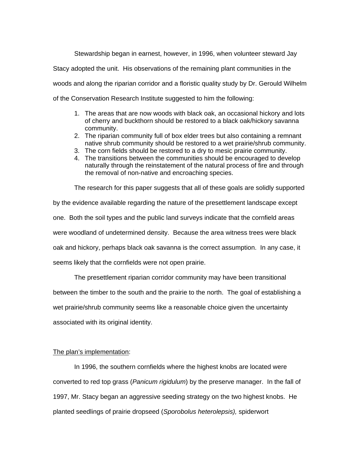Stewardship began in earnest, however, in 1996, when volunteer steward Jay

Stacy adopted the unit. His observations of the remaining plant communities in the

woods and along the riparian corridor and a floristic quality study by Dr. Gerould Wilhelm

of the Conservation Research Institute suggested to him the following:

- 1. The areas that are now woods with black oak, an occasional hickory and lots of cherry and buckthorn should be restored to a black oak/hickory savanna community.
- 2. The riparian community full of box elder trees but also containing a remnant native shrub community should be restored to a wet prairie/shrub community.
- 3. The corn fields should be restored to a dry to mesic prairie community.
- 4. The transitions between the communities should be encouraged to develop naturally through the reinstatement of the natural process of fire and through the removal of non-native and encroaching species.

The research for this paper suggests that all of these goals are solidly supported

by the evidence available regarding the nature of the presettlement landscape except one. Both the soil types and the public land surveys indicate that the cornfield areas were woodland of undetermined density. Because the area witness trees were black oak and hickory, perhaps black oak savanna is the correct assumption. In any case, it seems likely that the cornfields were not open prairie.

The presettlement riparian corridor community may have been transitional

between the timber to the south and the prairie to the north. The goal of establishing a

wet prairie/shrub community seems like a reasonable choice given the uncertainty

associated with its original identity.

# The plan's implementation:

In 1996, the southern cornfields where the highest knobs are located were converted to red top grass (*Panicum rigidulum*) by the preserve manager. In the fall of 1997, Mr. Stacy began an aggressive seeding strategy on the two highest knobs. He planted seedlings of prairie dropseed (*Sporobolus heterolepsis),* spiderwort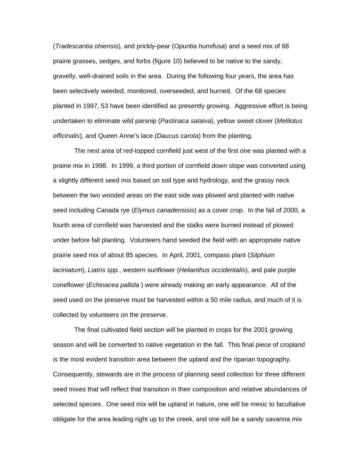(*Tradescantia ohiensis*)*,* and prickly-pear (*Opuntia humifusa*) and a seed mix of 68 prairie grasses, sedges, and forbs (figure 10) believed to be native to the sandy, gravelly, well-drained soils in the area. During the following four years, the area has been selectively weeded, monitored, overseeded, and burned. Of the 68 species planted in 1997, 53 have been identified as presently growing. Aggressive effort is being undertaken to eliminate wild parsnip (*Pastinaca sataiva*), yellow sweet clover (*Melilotus officinalis*), and Queen Anne's lace *(Daucus carota*) from the planting.

The next area of red-topped cornfield just west of the first one was planted with a prairie mix in 1998. In 1999, a third portion of cornfield down slope was converted using a slightly different seed mix based on soil type and hydrology, and the grassy neck between the two wooded areas on the east side was plowed and planted with native seed including Canada rye (*Elymus canadensisis*) as a cover crop. In the fall of 2000, a fourth area of cornfield was harvested and the stalks were burned instead of plowed under before fall planting. Volunteers hand seeded the field with an appropriate native prairie seed mix of about 85 species. In April, 2001, compass plant (*Silphium laciniatum*), *Liatris spp.*, western sunflower (*Helianthus occidentalis*), and pale purple coneflower (*Echinacea pallida* ) were already making an early appearance. All of the seed used on the preserve must be harvested within a 50 mile radius, and much of it is collected by volunteers on the preserve.

The final cultivated field section will be planted in crops for the 2001 growing season and will be converted to native vegetation in the fall. This final piece of cropland is the most evident transition area between the upland and the riparian topography. Consequently, stewards are in the process of planning seed collection for three different seed mixes that will reflect that transition in their composition and relative abundances of selected species. One seed mix will be upland in nature, one will be mesic to facultative obligate for the area leading right up to the creek, and one will be a sandy savanna mix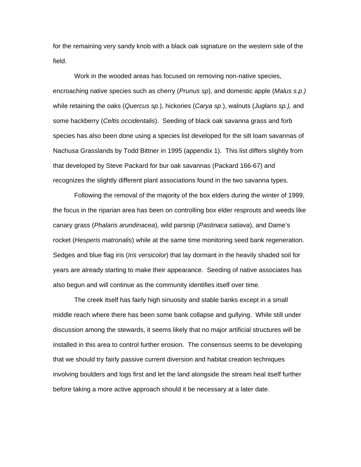for the remaining very sandy knob with a black oak signature on the western side of the field.

Work in the wooded areas has focused on removing non-native species, encroaching native species such as cherry (*Prunus sp*), and domestic apple (*Malus s.p.)* while retaining the oaks (*Quercus sp.*), hickories (*Carya sp*.), walnuts (*Juglans sp.),* and some hackberry (*Celtis occidentalis*). Seeding of black oak savanna grass and forb species has also been done using a species list developed for the silt loam savannas of Nachusa Grasslands by Todd Bittner in 1995 (appendix 1). This list differs slightly from that developed by Steve Packard for bur oak savannas (Packard 166-67) and recognizes the slightly different plant associations found in the two savanna types.

Following the removal of the majority of the box elders during the winter of 1999, the focus in the riparian area has been on controlling box elder resprouts and weeds like canary grass (*Phalaris arundinacea*), wild parsnip (*Pastinaca satiava*), and Dame's rocket (*Hesperis matronalis*) while at the same time monitoring seed bank regeneration. Sedges and blue flag iris (*Iris versicolor*) that lay dormant in the heavily shaded soil for years are already starting to make their appearance. Seeding of native associates has also begun and will continue as the community identifies itself over time.

The creek itself has fairly high sinuosity and stable banks except in a small middle reach where there has been some bank collapse and gullying. While still under discussion among the stewards, it seems likely that no major artificial structures will be installed in this area to control further erosion. The consensus seems to be developing that we should try fairly passive current diversion and habitat creation techniques involving boulders and logs first and let the land alongside the stream heal itself further before taking a more active approach should it be necessary at a later date.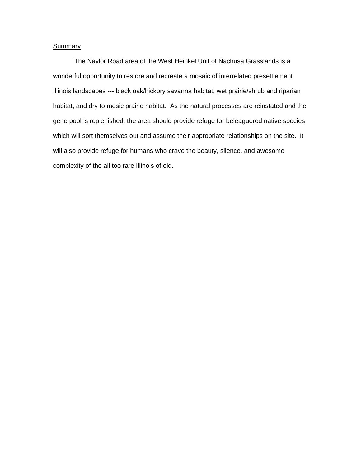# **Summary**

 The Naylor Road area of the West Heinkel Unit of Nachusa Grasslands is a wonderful opportunity to restore and recreate a mosaic of interrelated presettlement Illinois landscapes --- black oak/hickory savanna habitat, wet prairie/shrub and riparian habitat, and dry to mesic prairie habitat. As the natural processes are reinstated and the gene pool is replenished, the area should provide refuge for beleaguered native species which will sort themselves out and assume their appropriate relationships on the site. It will also provide refuge for humans who crave the beauty, silence, and awesome complexity of the all too rare Illinois of old.